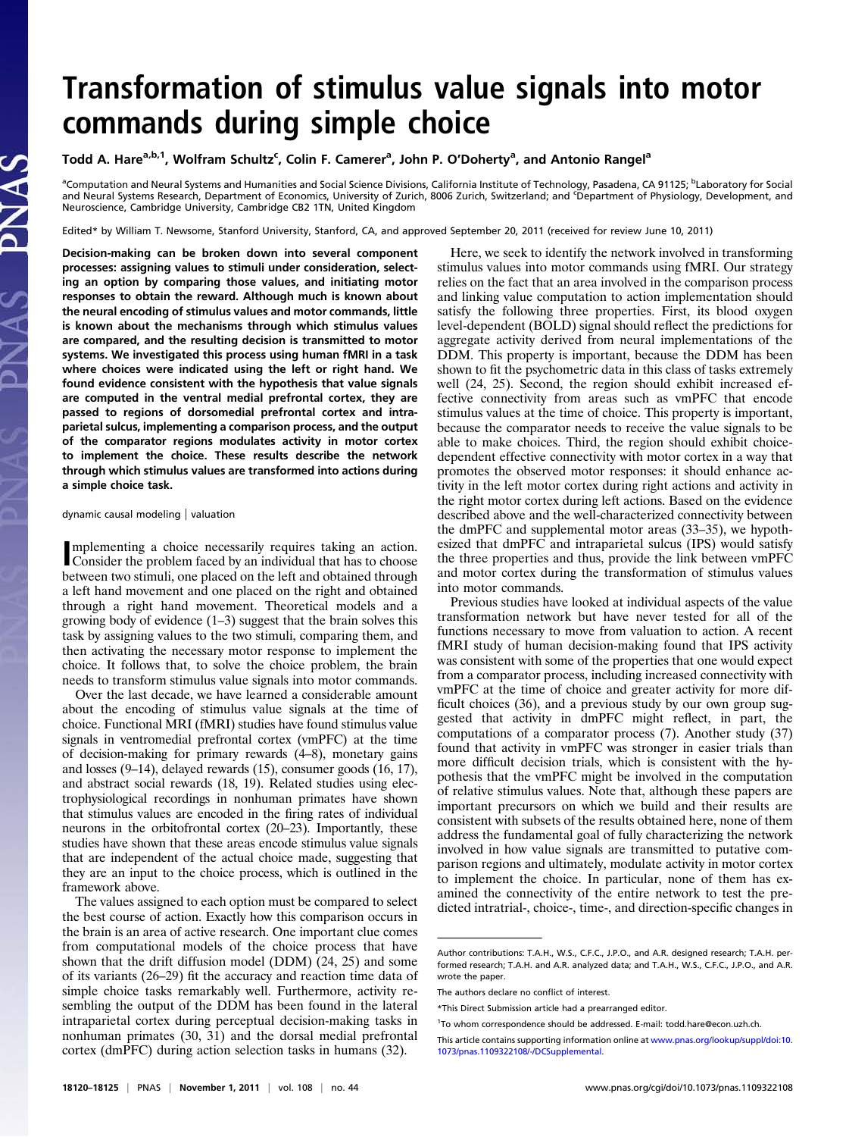# Transformation of stimulus value signals into motor commands during simple choice

## Todd A. Hare<sup>a,b,1</sup>, Wolfram Schultz<sup>c</sup>, Colin F. Camerer<sup>a</sup>, John P. O'Doherty<sup>a</sup>, and Antonio Rangel<sup>a</sup>

<sup>a</sup>Computation and Neural Systems and Humanities and Social Science Divisions, California Institute of Technology, Pasadena, CA 91125; <sup>b</sup>Laboratory for Social and Neural Systems Research, Department of Economics, University of Zurich, 8006 Zurich, Switzerland; and <sup>c</sup>Department of Physiology, Development, and Neuroscience, Cambridge University, Cambridge CB2 1TN, United Kingdom

Edited\* by William T. Newsome, Stanford University, Stanford, CA, and approved September 20, 2011 (received for review June 10, 2011)

Decision-making can be broken down into several component processes: assigning values to stimuli under consideration, selecting an option by comparing those values, and initiating motor responses to obtain the reward. Although much is known about the neural encoding of stimulus values and motor commands, little is known about the mechanisms through which stimulus values are compared, and the resulting decision is transmitted to motor systems. We investigated this process using human fMRI in a task where choices were indicated using the left or right hand. We found evidence consistent with the hypothesis that value signals are computed in the ventral medial prefrontal cortex, they are passed to regions of dorsomedial prefrontal cortex and intraparietal sulcus, implementing a comparison process, and the output of the comparator regions modulates activity in motor cortex to implement the choice. These results describe the network through which stimulus values are transformed into actions during a simple choice task.

#### dynamic causal modeling | valuation

Implementing a choice necessarily requires taking an action.<br>Consider the problem faced by an individual that has to choose mplementing a choice necessarily requires taking an action. between two stimuli, one placed on the left and obtained through a left hand movement and one placed on the right and obtained through a right hand movement. Theoretical models and a growing body of evidence (1–3) suggest that the brain solves this task by assigning values to the two stimuli, comparing them, and then activating the necessary motor response to implement the choice. It follows that, to solve the choice problem, the brain needs to transform stimulus value signals into motor commands.

Over the last decade, we have learned a considerable amount about the encoding of stimulus value signals at the time of choice. Functional MRI (fMRI) studies have found stimulus value signals in ventromedial prefrontal cortex (vmPFC) at the time of decision-making for primary rewards (4–8), monetary gains and losses (9–14), delayed rewards (15), consumer goods (16, 17), and abstract social rewards (18, 19). Related studies using electrophysiological recordings in nonhuman primates have shown that stimulus values are encoded in the firing rates of individual neurons in the orbitofrontal cortex (20–23). Importantly, these studies have shown that these areas encode stimulus value signals that are independent of the actual choice made, suggesting that they are an input to the choice process, which is outlined in the framework above.

The values assigned to each option must be compared to select the best course of action. Exactly how this comparison occurs in the brain is an area of active research. One important clue comes from computational models of the choice process that have shown that the drift diffusion model (DDM) (24, 25) and some of its variants (26–29) fit the accuracy and reaction time data of simple choice tasks remarkably well. Furthermore, activity resembling the output of the DDM has been found in the lateral intraparietal cortex during perceptual decision-making tasks in nonhuman primates (30, 31) and the dorsal medial prefrontal cortex (dmPFC) during action selection tasks in humans (32).

Here, we seek to identify the network involved in transforming stimulus values into motor commands using fMRI. Our strategy relies on the fact that an area involved in the comparison process and linking value computation to action implementation should satisfy the following three properties. First, its blood oxygen level-dependent (BOLD) signal should reflect the predictions for aggregate activity derived from neural implementations of the DDM. This property is important, because the DDM has been shown to fit the psychometric data in this class of tasks extremely well (24, 25). Second, the region should exhibit increased effective connectivity from areas such as vmPFC that encode stimulus values at the time of choice. This property is important, because the comparator needs to receive the value signals to be able to make choices. Third, the region should exhibit choicedependent effective connectivity with motor cortex in a way that promotes the observed motor responses: it should enhance activity in the left motor cortex during right actions and activity in the right motor cortex during left actions. Based on the evidence described above and the well-characterized connectivity between the dmPFC and supplemental motor areas (33–35), we hypothesized that dmPFC and intraparietal sulcus (IPS) would satisfy the three properties and thus, provide the link between vmPFC and motor cortex during the transformation of stimulus values into motor commands.

Previous studies have looked at individual aspects of the value transformation network but have never tested for all of the functions necessary to move from valuation to action. A recent fMRI study of human decision-making found that IPS activity was consistent with some of the properties that one would expect from a comparator process, including increased connectivity with vmPFC at the time of choice and greater activity for more difficult choices (36), and a previous study by our own group suggested that activity in dmPFC might reflect, in part, the computations of a comparator process (7). Another study (37) found that activity in vmPFC was stronger in easier trials than more difficult decision trials, which is consistent with the hypothesis that the vmPFC might be involved in the computation of relative stimulus values. Note that, although these papers are important precursors on which we build and their results are consistent with subsets of the results obtained here, none of them address the fundamental goal of fully characterizing the network involved in how value signals are transmitted to putative comparison regions and ultimately, modulate activity in motor cortex to implement the choice. In particular, none of them has examined the connectivity of the entire network to test the predicted intratrial-, choice-, time-, and direction-specific changes in

Author contributions: T.A.H., W.S., C.F.C., J.P.O., and A.R. designed research; T.A.H. performed research; T.A.H. and A.R. analyzed data; and T.A.H., W.S., C.F.C., J.P.O., and A.R. wrote the paper.

The authors declare no conflict of interest.

<sup>\*</sup>This Direct Submission article had a prearranged editor.

<sup>&</sup>lt;sup>1</sup>To whom correspondence should be addressed. E-mail: [todd.hare@econ.uzh.ch](mailto:todd.hare@econ.uzh.ch).

This article contains supporting information online at [www.pnas.org/lookup/suppl/doi:10.](http://www.pnas.org/lookup/suppl/doi:10.1073/pnas.1109322108/-/DCSupplemental) [1073/pnas.1109322108/-/DCSupplemental.](http://www.pnas.org/lookup/suppl/doi:10.1073/pnas.1109322108/-/DCSupplemental)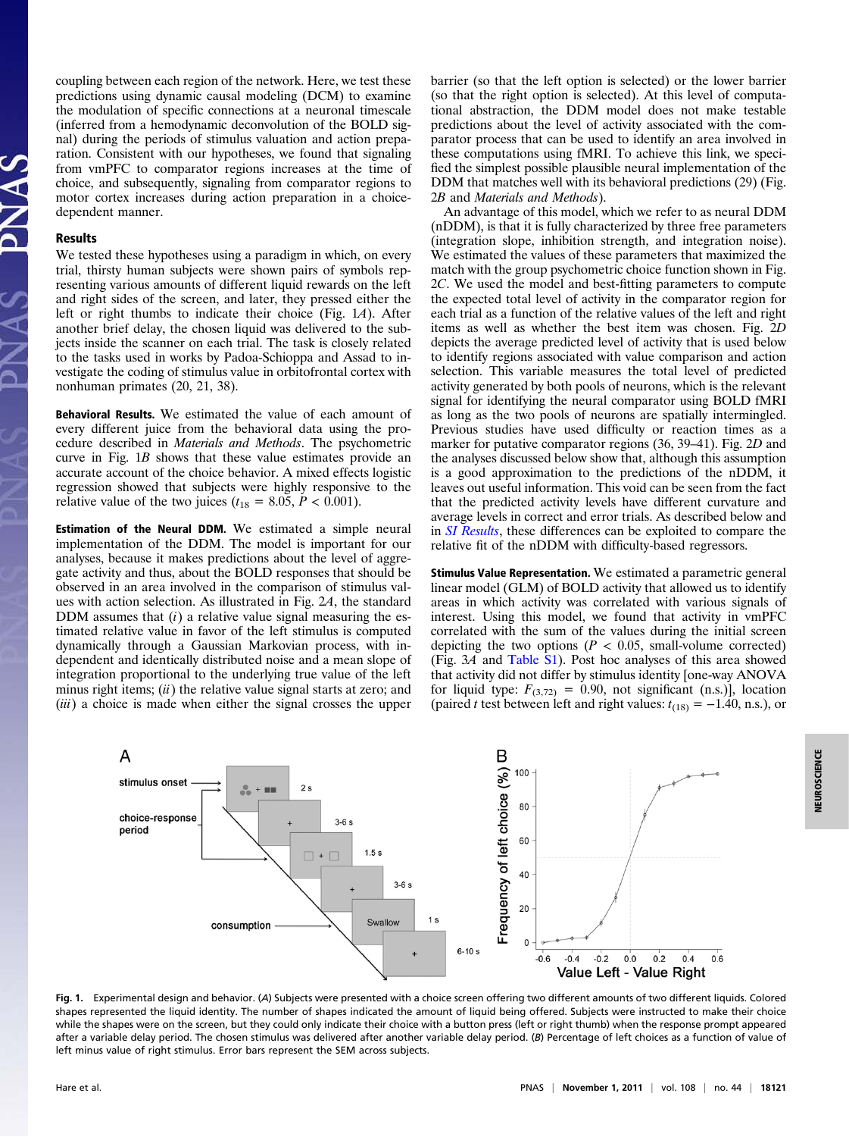coupling between each region of the network. Here, we test these predictions using dynamic causal modeling (DCM) to examine the modulation of specific connections at a neuronal timescale (inferred from a hemodynamic deconvolution of the BOLD signal) during the periods of stimulus valuation and action preparation. Consistent with our hypotheses, we found that signaling from vmPFC to comparator regions increases at the time of choice, and subsequently, signaling from comparator regions to motor cortex increases during action preparation in a choicedependent manner.

#### Results

We tested these hypotheses using a paradigm in which, on every trial, thirsty human subjects were shown pairs of symbols representing various amounts of different liquid rewards on the left and right sides of the screen, and later, they pressed either the left or right thumbs to indicate their choice (Fig. 1A). After another brief delay, the chosen liquid was delivered to the subjects inside the scanner on each trial. The task is closely related to the tasks used in works by Padoa-Schioppa and Assad to investigate the coding of stimulus value in orbitofrontal cortex with nonhuman primates (20, 21, 38).

Behavioral Results. We estimated the value of each amount of every different juice from the behavioral data using the procedure described in Materials and Methods. The psychometric curve in Fig. 1B shows that these value estimates provide an accurate account of the choice behavior. A mixed effects logistic regression showed that subjects were highly responsive to the relative value of the two juices ( $t_{18} = 8.05, P < 0.001$ ).

Estimation of the Neural DDM. We estimated a simple neural implementation of the DDM. The model is important for our analyses, because it makes predictions about the level of aggregate activity and thus, about the BOLD responses that should be observed in an area involved in the comparison of stimulus values with action selection. As illustrated in Fig. 2A, the standard DDM assumes that  $(i)$  a relative value signal measuring the estimated relative value in favor of the left stimulus is computed dynamically through a Gaussian Markovian process, with independent and identically distributed noise and a mean slope of integration proportional to the underlying true value of the left minus right items;  $(ii)$  the relative value signal starts at zero; and (*iii*) a choice is made when either the signal crosses the upper barrier (so that the left option is selected) or the lower barrier (so that the right option is selected). At this level of computational abstraction, the DDM model does not make testable predictions about the level of activity associated with the comparator process that can be used to identify an area involved in these computations using fMRI. To achieve this link, we specified the simplest possible plausible neural implementation of the DDM that matches well with its behavioral predictions (29) (Fig. 2B and Materials and Methods).

An advantage of this model, which we refer to as neural DDM (nDDM), is that it is fully characterized by three free parameters (integration slope, inhibition strength, and integration noise). We estimated the values of these parameters that maximized the match with the group psychometric choice function shown in Fig. 2C. We used the model and best-fitting parameters to compute the expected total level of activity in the comparator region for each trial as a function of the relative values of the left and right items as well as whether the best item was chosen. Fig. 2D depicts the average predicted level of activity that is used below to identify regions associated with value comparison and action selection. This variable measures the total level of predicted activity generated by both pools of neurons, which is the relevant signal for identifying the neural comparator using BOLD fMRI as long as the two pools of neurons are spatially intermingled. Previous studies have used difficulty or reaction times as a marker for putative comparator regions (36, 39–41). Fig. 2D and the analyses discussed below show that, although this assumption is a good approximation to the predictions of the nDDM, it leaves out useful information. This void can be seen from the fact that the predicted activity levels have different curvature and average levels in correct and error trials. As described below and in [SI Results](http://www.pnas.org/lookup/suppl/doi:10.1073/pnas.1109322108/-/DCSupplemental/pnas.201109322SI.pdf?targetid=nameddest=STXT), these differences can be exploited to compare the relative fit of the nDDM with difficulty-based regressors.

Stimulus Value Representation. We estimated a parametric general linear model (GLM) of BOLD activity that allowed us to identify areas in which activity was correlated with various signals of interest. Using this model, we found that activity in vmPFC correlated with the sum of the values during the initial screen depicting the two options ( $P < 0.05$ , small-volume corrected) (Fig. 3A and [Table S1\)](http://www.pnas.org/lookup/suppl/doi:10.1073/pnas.1109322108/-/DCSupplemental/pnas.201109322SI.pdf?targetid=nameddest=ST1). Post hoc analyses of this area showed that activity did not differ by stimulus identity [one-way ANOVA for liquid type:  $F_{(3,72)} = 0.90$ , not significant (n.s.)], location (paired t test between left and right values:  $t_{(18)} = -1.40$ , n.s.), or



Fig. 1. Experimental design and behavior. (A) Subjects were presented with a choice screen offering two different amounts of two different liquids. Colored shapes represented the liquid identity. The number of shapes indicated the amount of liquid being offered. Subjects were instructed to make their choice while the shapes were on the screen, but they could only indicate their choice with a button press (left or right thumb) when the response prompt appeared after a variable delay period. The chosen stimulus was delivered after another variable delay period. (B) Percentage of left choices as a function of value of left minus value of right stimulus. Error bars represent the SEM across subjects.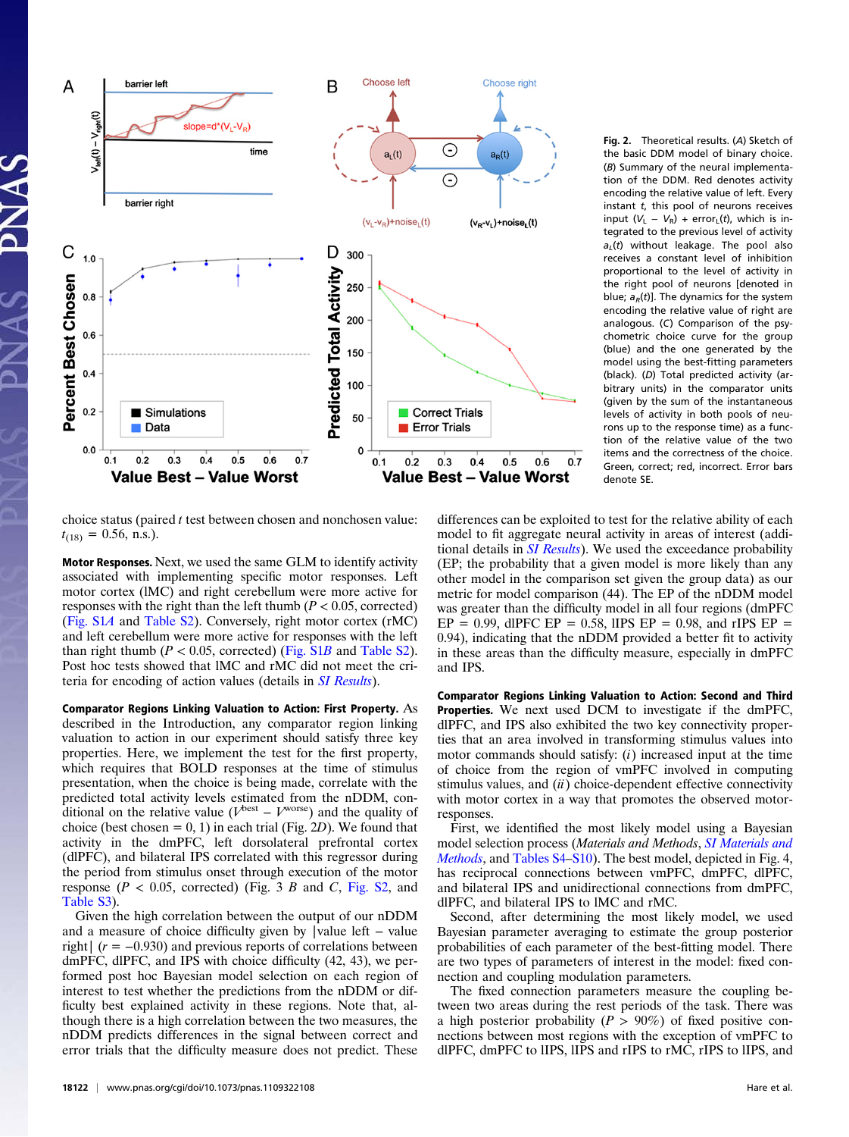

choice status (paired  $t$  test between chosen and nonchosen value:  $t_{(18)} = 0.56$ , n.s.).

Motor Responses. Next, we used the same GLM to identify activity associated with implementing specific motor responses. Left motor cortex (lMC) and right cerebellum were more active for responses with the right than the left thumb ( $P < 0.05$ , corrected) [\(Fig. S1](http://www.pnas.org/lookup/suppl/doi:10.1073/pnas.1109322108/-/DCSupplemental/pnas.201109322SI.pdf?targetid=nameddest=SF1)A and [Table S2\)](http://www.pnas.org/lookup/suppl/doi:10.1073/pnas.1109322108/-/DCSupplemental/pnas.201109322SI.pdf?targetid=nameddest=ST2). Conversely, right motor cortex (rMC) and left cerebellum were more active for responses with the left than right thumb ( $P < 0.05$ , corrected) ([Fig. S1](http://www.pnas.org/lookup/suppl/doi:10.1073/pnas.1109322108/-/DCSupplemental/pnas.201109322SI.pdf?targetid=nameddest=SF1)B and [Table S2](http://www.pnas.org/lookup/suppl/doi:10.1073/pnas.1109322108/-/DCSupplemental/pnas.201109322SI.pdf?targetid=nameddest=ST2)). Post hoc tests showed that lMC and rMC did not meet the criteria for encoding of action values (details in *[SI Results](http://www.pnas.org/lookup/suppl/doi:10.1073/pnas.1109322108/-/DCSupplemental/pnas.201109322SI.pdf?targetid=nameddest=STXT)*).

Comparator Regions Linking Valuation to Action: First Property. As described in the Introduction, any comparator region linking valuation to action in our experiment should satisfy three key properties. Here, we implement the test for the first property, which requires that BOLD responses at the time of stimulus presentation, when the choice is being made, correlate with the predicted total activity levels estimated from the nDDM, conditional on the relative value ( $V^{\text{best}} - V^{\text{worse}}$ ) and the quality of choice (best chosen  $= 0, 1$ ) in each trial (Fig. 2D). We found that activity in the dmPFC, left dorsolateral prefrontal cortex (dlPFC), and bilateral IPS correlated with this regressor during the period from stimulus onset through execution of the motor response ( $P < 0.05$ , corrected) (Fig. 3 B and C, [Fig. S2,](http://www.pnas.org/lookup/suppl/doi:10.1073/pnas.1109322108/-/DCSupplemental/pnas.201109322SI.pdf?targetid=nameddest=SF2) and [Table S3\)](http://www.pnas.org/lookup/suppl/doi:10.1073/pnas.1109322108/-/DCSupplemental/pnas.201109322SI.pdf?targetid=nameddest=ST3).

Given the high correlation between the output of our nDDM and a measure of choice difficulty given by |value left − value right $\int (r = -0.930)$  and previous reports of correlations between dmPFC, dlPFC, and IPS with choice difficulty (42, 43), we performed post hoc Bayesian model selection on each region of interest to test whether the predictions from the nDDM or difficulty best explained activity in these regions. Note that, although there is a high correlation between the two measures, the nDDM predicts differences in the signal between correct and error trials that the difficulty measure does not predict. These Fig. 2. Theoretical results. (A) Sketch of the basic DDM model of binary choice. (B) Summary of the neural implementation of the DDM. Red denotes activity encoding the relative value of left. Every instant t, this pool of neurons receives input ( $V_L - V_R$ ) + error<sub>L</sub>(t), which is integrated to the previous level of activity  $a<sub>L</sub>(t)$  without leakage. The pool also receives a constant level of inhibition proportional to the level of activity in the right pool of neurons [denoted in blue;  $a_R(t)$ ]. The dynamics for the system encoding the relative value of right are analogous. (C) Comparison of the psychometric choice curve for the group (blue) and the one generated by the model using the best-fitting parameters (black). (D) Total predicted activity (arbitrary units) in the comparator units (given by the sum of the instantaneous levels of activity in both pools of neurons up to the response time) as a function of the relative value of the two items and the correctness of the choice. Green, correct; red, incorrect. Error bars denote SE.

differences can be exploited to test for the relative ability of each model to fit aggregate neural activity in areas of interest (additional details in *[SI Results](http://www.pnas.org/lookup/suppl/doi:10.1073/pnas.1109322108/-/DCSupplemental/pnas.201109322SI.pdf?targetid=nameddest=STXT)*). We used the exceedance probability (EP; the probability that a given model is more likely than any other model in the comparison set given the group data) as our metric for model comparison (44). The EP of the nDDM model was greater than the difficulty model in all four regions (dmPFC  $EP = 0.99$ , dlPFC  $EP = 0.58$ , lIPS  $EP = 0.98$ , and rIPS  $EP =$ 0.94), indicating that the nDDM provided a better fit to activity in these areas than the difficulty measure, especially in dmPFC and IPS.

Comparator Regions Linking Valuation to Action: Second and Third Properties. We next used DCM to investigate if the dmPFC, dlPFC, and IPS also exhibited the two key connectivity properties that an area involved in transforming stimulus values into motor commands should satisfy:  $(i)$  increased input at the time of choice from the region of vmPFC involved in computing stimulus values, and  $(ii)$  choice-dependent effective connectivity with motor cortex in a way that promotes the observed motorresponses.

First, we identified the most likely model using a Bayesian model selection process (Materials and Methods, [SI Materials and](http://www.pnas.org/lookup/suppl/doi:10.1073/pnas.1109322108/-/DCSupplemental/pnas.201109322SI.pdf?targetid=nameddest=STXT) [Methods](http://www.pnas.org/lookup/suppl/doi:10.1073/pnas.1109322108/-/DCSupplemental/pnas.201109322SI.pdf?targetid=nameddest=STXT), and [Tables S4](http://www.pnas.org/lookup/suppl/doi:10.1073/pnas.1109322108/-/DCSupplemental/pnas.201109322SI.pdf?targetid=nameddest=ST4)–[S10](http://www.pnas.org/lookup/suppl/doi:10.1073/pnas.1109322108/-/DCSupplemental/pnas.201109322SI.pdf?targetid=nameddest=ST10)). The best model, depicted in Fig. 4, has reciprocal connections between vmPFC, dmPFC, dlPFC, and bilateral IPS and unidirectional connections from dmPFC, dlPFC, and bilateral IPS to lMC and rMC.

Second, after determining the most likely model, we used Bayesian parameter averaging to estimate the group posterior probabilities of each parameter of the best-fitting model. There are two types of parameters of interest in the model: fixed connection and coupling modulation parameters.

The fixed connection parameters measure the coupling between two areas during the rest periods of the task. There was a high posterior probability ( $P > 90\%$ ) of fixed positive connections between most regions with the exception of vmPFC to dlPFC, dmPFC to lIPS, lIPS and rIPS to rMC, rIPS to lIPS, and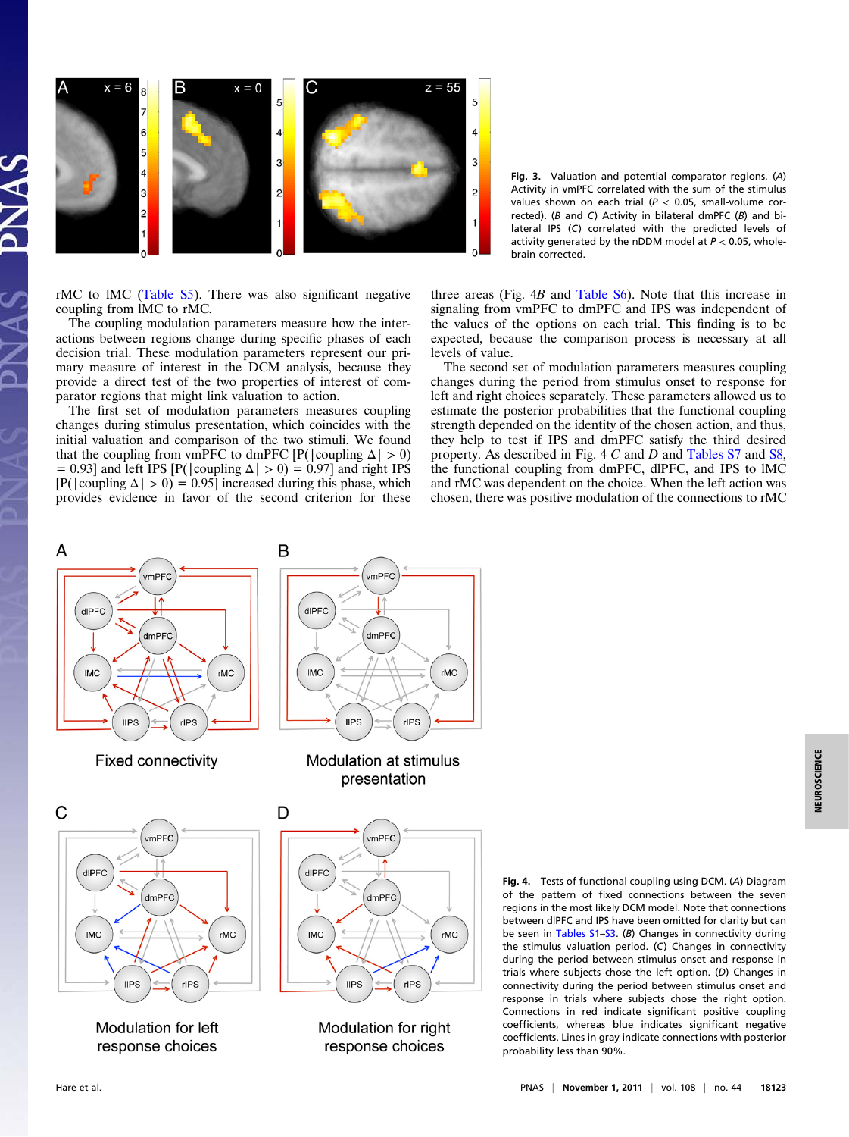

rMC to lMC [\(Table S5\)](http://www.pnas.org/lookup/suppl/doi:10.1073/pnas.1109322108/-/DCSupplemental/pnas.201109322SI.pdf?targetid=nameddest=ST5). There was also significant negative coupling from lMC to rMC.

The coupling modulation parameters measure how the interactions between regions change during specific phases of each decision trial. These modulation parameters represent our primary measure of interest in the DCM analysis, because they provide a direct test of the two properties of interest of comparator regions that might link valuation to action.

The first set of modulation parameters measures coupling changes during stimulus presentation, which coincides with the initial valuation and comparison of the two stimuli. We found that the coupling from vmPFC to dmPFC  $[P(|\text{coupling } \Delta| > 0)]$  $= 0.93$ ] and left IPS [P(|coupling  $\Delta$ | > 0) = 0.97] and right IPS  $[P(|\text{coupling } \Delta | > 0) = 0.95]$  increased during this phase, which provides evidence in favor of the second criterion for these Fig. 3. Valuation and potential comparator regions. (A) Activity in vmPFC correlated with the sum of the stimulus values shown on each trial ( $P < 0.05$ , small-volume corrected). ( $B$  and  $C$ ) Activity in bilateral dmPFC ( $B$ ) and bilateral IPS (C) correlated with the predicted levels of activity generated by the nDDM model at  $P < 0.05$ , wholebrain corrected.

three areas (Fig.  $4B$  and [Table S6](http://www.pnas.org/lookup/suppl/doi:10.1073/pnas.1109322108/-/DCSupplemental/pnas.201109322SI.pdf?targetid=nameddest=ST6)). Note that this increase in signaling from vmPFC to dmPFC and IPS was independent of the values of the options on each trial. This finding is to be expected, because the comparison process is necessary at all levels of value.

The second set of modulation parameters measures coupling changes during the period from stimulus onset to response for left and right choices separately. These parameters allowed us to estimate the posterior probabilities that the functional coupling strength depended on the identity of the chosen action, and thus, they help to test if IPS and dmPFC satisfy the third desired property. As described in Fig. 4 C and D and [Tables S7](http://www.pnas.org/lookup/suppl/doi:10.1073/pnas.1109322108/-/DCSupplemental/pnas.201109322SI.pdf?targetid=nameddest=ST7) and [S8,](http://www.pnas.org/lookup/suppl/doi:10.1073/pnas.1109322108/-/DCSupplemental/pnas.201109322SI.pdf?targetid=nameddest=ST8) the functional coupling from dmPFC, dlPFC, and IPS to lMC and rMC was dependent on the choice. When the left action was chosen, there was positive modulation of the connections to rMC



Fig. 4. Tests of functional coupling using DCM. (A) Diagram of the pattern of fixed connections between the seven regions in the most likely DCM model. Note that connections between dlPFC and IPS have been omitted for clarity but can be seen in [Tables S1](http://www.pnas.org/lookup/suppl/doi:10.1073/pnas.1109322108/-/DCSupplemental/pnas.201109322SI.pdf?targetid=nameddest=ST1)–[S3](http://www.pnas.org/lookup/suppl/doi:10.1073/pnas.1109322108/-/DCSupplemental/pnas.201109322SI.pdf?targetid=nameddest=ST3). (B) Changes in connectivity during the stimulus valuation period. (C) Changes in connectivity during the period between stimulus onset and response in trials where subjects chose the left option. (D) Changes in connectivity during the period between stimulus onset and response in trials where subjects chose the right option. Connections in red indicate significant positive coupling coefficients, whereas blue indicates significant negative coefficients. Lines in gray indicate connections with posterior probability less than 90%.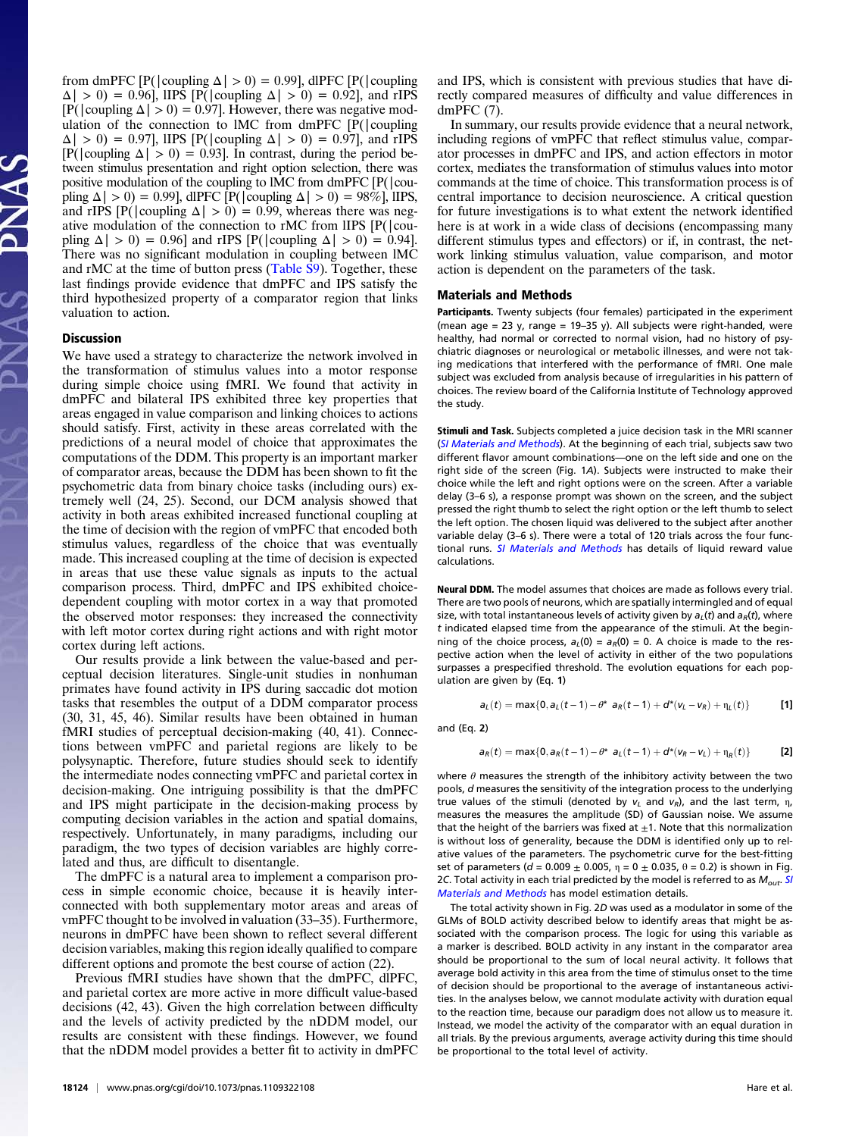from dmPFC  $[P(\text{coupling } \Delta \mid > 0) = 0.99]$ , dlPFC  $[P(\text{coupling } \Delta \mid > 0) = 0.99]$  $\Delta$  | > 0) = 0.96], lIPS [P(|coupling  $\Delta$ | > 0) = 0.92], and rIPS  $[P(|\text{coupling } \Delta | > 0) = 0.97]$ . However, there was negative modulation of the connection to lMC from dmPFC [P(|coupling  $\Delta$  | > 0) = 0.97], IIPS [P(|coupling  $\Delta$ | > 0) = 0.97], and rIPS  $[P(|\text{coupling } \Delta | > 0) = 0.93]$ . In contrast, during the period between stimulus presentation and right option selection, there was positive modulation of the coupling to lMC from dmPFC [P(|coupling  $\Delta$  | > 0) = 0.99], dlPFC [P(|coupling  $\Delta$ | > 0) = 98%], lIPS, and rIPS  $[P(|\text{coupling } \Delta| > 0) = 0.99$ , whereas there was negative modulation of the connection to rMC from lIPS [P(|coupling  $\Delta$  | > 0) = 0.96] and rIPS [P(|coupling  $\Delta$  | > 0) = 0.94]. There was no significant modulation in coupling between lMC and rMC at the time of button press ([Table S9](http://www.pnas.org/lookup/suppl/doi:10.1073/pnas.1109322108/-/DCSupplemental/pnas.201109322SI.pdf?targetid=nameddest=ST9)). Together, these last findings provide evidence that dmPFC and IPS satisfy the third hypothesized property of a comparator region that links valuation to action.

#### Discussion

We have used a strategy to characterize the network involved in the transformation of stimulus values into a motor response during simple choice using fMRI. We found that activity in dmPFC and bilateral IPS exhibited three key properties that areas engaged in value comparison and linking choices to actions should satisfy. First, activity in these areas correlated with the predictions of a neural model of choice that approximates the computations of the DDM. This property is an important marker of comparator areas, because the DDM has been shown to fit the psychometric data from binary choice tasks (including ours) extremely well (24, 25). Second, our DCM analysis showed that activity in both areas exhibited increased functional coupling at the time of decision with the region of vmPFC that encoded both stimulus values, regardless of the choice that was eventually made. This increased coupling at the time of decision is expected in areas that use these value signals as inputs to the actual comparison process. Third, dmPFC and IPS exhibited choicedependent coupling with motor cortex in a way that promoted the observed motor responses: they increased the connectivity with left motor cortex during right actions and with right motor cortex during left actions.

Our results provide a link between the value-based and perceptual decision literatures. Single-unit studies in nonhuman primates have found activity in IPS during saccadic dot motion tasks that resembles the output of a DDM comparator process (30, 31, 45, 46). Similar results have been obtained in human fMRI studies of perceptual decision-making (40, 41). Connections between vmPFC and parietal regions are likely to be polysynaptic. Therefore, future studies should seek to identify the intermediate nodes connecting vmPFC and parietal cortex in decision-making. One intriguing possibility is that the dmPFC and IPS might participate in the decision-making process by computing decision variables in the action and spatial domains, respectively. Unfortunately, in many paradigms, including our paradigm, the two types of decision variables are highly correlated and thus, are difficult to disentangle.

The dmPFC is a natural area to implement a comparison process in simple economic choice, because it is heavily interconnected with both supplementary motor areas and areas of vmPFC thought to be involved in valuation (33–35). Furthermore, neurons in dmPFC have been shown to reflect several different decision variables, making this region ideally qualified to compare different options and promote the best course of action (22).

Previous fMRI studies have shown that the dmPFC, dlPFC, and parietal cortex are more active in more difficult value-based decisions (42, 43). Given the high correlation between difficulty and the levels of activity predicted by the nDDM model, our results are consistent with these findings. However, we found that the nDDM model provides a better fit to activity in dmPFC and IPS, which is consistent with previous studies that have directly compared measures of difficulty and value differences in dmPFC (7).

In summary, our results provide evidence that a neural network, including regions of vmPFC that reflect stimulus value, comparator processes in dmPFC and IPS, and action effectors in motor cortex, mediates the transformation of stimulus values into motor commands at the time of choice. This transformation process is of central importance to decision neuroscience. A critical question for future investigations is to what extent the network identified here is at work in a wide class of decisions (encompassing many different stimulus types and effectors) or if, in contrast, the network linking stimulus valuation, value comparison, and motor action is dependent on the parameters of the task.

### Materials and Methods

Participants. Twenty subjects (four females) participated in the experiment (mean age = 23 y, range = 19–35 y). All subjects were right-handed, were healthy, had normal or corrected to normal vision, had no history of psychiatric diagnoses or neurological or metabolic illnesses, and were not taking medications that interfered with the performance of fMRI. One male subject was excluded from analysis because of irregularities in his pattern of choices. The review board of the California Institute of Technology approved the study.

Stimuli and Task. Subjects completed a juice decision task in the MRI scanner ([SI Materials and Methods](http://www.pnas.org/lookup/suppl/doi:10.1073/pnas.1109322108/-/DCSupplemental/pnas.201109322SI.pdf?targetid=nameddest=STXT)). At the beginning of each trial, subjects saw two different flavor amount combinations—one on the left side and one on the right side of the screen (Fig. 1A). Subjects were instructed to make their choice while the left and right options were on the screen. After a variable delay (3–6 s), a response prompt was shown on the screen, and the subject pressed the right thumb to select the right option or the left thumb to select the left option. The chosen liquid was delivered to the subject after another variable delay (3–6 s). There were a total of 120 trials across the four func-tional runs. [SI Materials and Methods](http://www.pnas.org/lookup/suppl/doi:10.1073/pnas.1109322108/-/DCSupplemental/pnas.201109322SI.pdf?targetid=nameddest=STXT) has details of liquid reward value calculations.

Neural DDM. The model assumes that choices are made as follows every trial. There are two pools of neurons, which are spatially intermingled and of equal size, with total instantaneous levels of activity given by  $a_l(t)$  and  $a_R(t)$ , where t indicated elapsed time from the appearance of the stimuli. At the beginning of the choice process,  $a_l(0) = a_R(0) = 0$ . A choice is made to the respective action when the level of activity in either of the two populations surpasses a prespecified threshold. The evolution equations for each population are given by (Eq. 1)

$$
a_L(t) = max\{0, a_L(t-1) - \theta^* \, a_R(t-1) + d^*(v_L - v_R) + \eta_L(t)\}
$$
 [1]

and (Eq. 2)

$$
a_R(t) = \max\{0, a_R(t-1) - \theta^* \, a_L(t-1) + d^*(v_R - v_L) + \eta_R(t)\}\qquad \qquad [2]
$$

where  $\theta$  measures the strength of the inhibitory activity between the two pools, d measures the sensitivity of the integration process to the underlying true values of the stimuli (denoted by  $v_L$  and  $v_R$ ), and the last term, η, measures the measures the amplitude (SD) of Gaussian noise. We assume that the height of the barriers was fixed at  $+1$ . Note that this normalization is without loss of generality, because the DDM is identified only up to relative values of the parameters. The psychometric curve for the best-fitting set of parameters (d = 0.009  $\pm$  0.005, η = 0  $\pm$  0.035, θ = 0.2) is shown in Fig. 2C. Total activity in each trial predicted by the model is referred to as  $M_{out}$ . [SI](http://www.pnas.org/lookup/suppl/doi:10.1073/pnas.1109322108/-/DCSupplemental/pnas.201109322SI.pdf?targetid=nameddest=STXT) [Materials and Methods](http://www.pnas.org/lookup/suppl/doi:10.1073/pnas.1109322108/-/DCSupplemental/pnas.201109322SI.pdf?targetid=nameddest=STXT) has model estimation details.

The total activity shown in Fig. 2D was used as a modulator in some of the GLMs of BOLD activity described below to identify areas that might be associated with the comparison process. The logic for using this variable as a marker is described. BOLD activity in any instant in the comparator area should be proportional to the sum of local neural activity. It follows that average bold activity in this area from the time of stimulus onset to the time of decision should be proportional to the average of instantaneous activities. In the analyses below, we cannot modulate activity with duration equal to the reaction time, because our paradigm does not allow us to measure it. Instead, we model the activity of the comparator with an equal duration in all trials. By the previous arguments, average activity during this time should be proportional to the total level of activity.